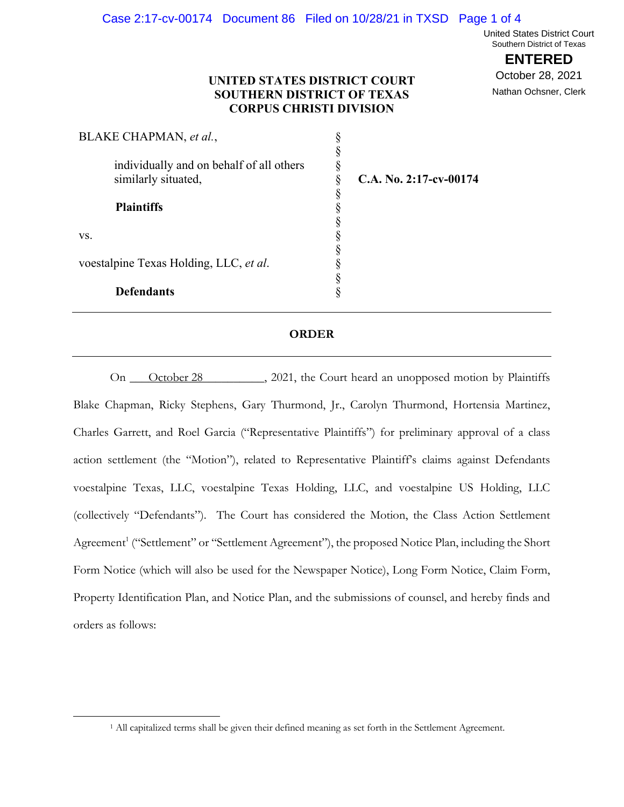United States District Court Southern District of Texas

**ENTERED**

October 28, 2021 Nathan Ochsner, Clerk

## **UNITED STATES DISTRICT COURT SOUTHERN DISTRICT OF TEXAS CORPUS CHRISTI DIVISION**

| BLAKE CHAPMAN, et al.,                   |                        |
|------------------------------------------|------------------------|
| individually and on behalf of all others |                        |
| similarly situated,                      | C.A. No. 2:17-cv-00174 |
| <b>Plaintiffs</b>                        |                        |
|                                          |                        |
| VS.                                      |                        |
|                                          |                        |
| voestalpine Texas Holding, LLC, et al.   |                        |
|                                          |                        |
| <b>Defendants</b>                        |                        |

#### **ORDER**

Queen, 2021, the Court heard an unopposed motion by Plaintiffs Blake Chapman, Ricky Stephens, Gary Thurmond, Jr., Carolyn Thurmond, Hortensia Martinez, Charles Garrett, and Roel Garcia ("Representative Plaintiffs") for preliminary approval of a class action settlement (the "Motion"), related to Representative Plaintiff's claims against Defendants voestalpine Texas, LLC, voestalpine Texas Holding, LLC, and voestalpine US Holding, LLC (collectively "Defendants"). The Court has considered the Motion, the Class Action Settlement Agreement<sup>1</sup> ("Settlement" or "Settlement Agreement"), the proposed Notice Plan, including the Short Form Notice (which will also be used for the Newspaper Notice), Long Form Notice, Claim Form, Property Identification Plan, and Notice Plan, and the submissions of counsel, and hereby finds and orders as follows: On October 28

<sup>1</sup> All capitalized terms shall be given their defined meaning as set forth in the Settlement Agreement.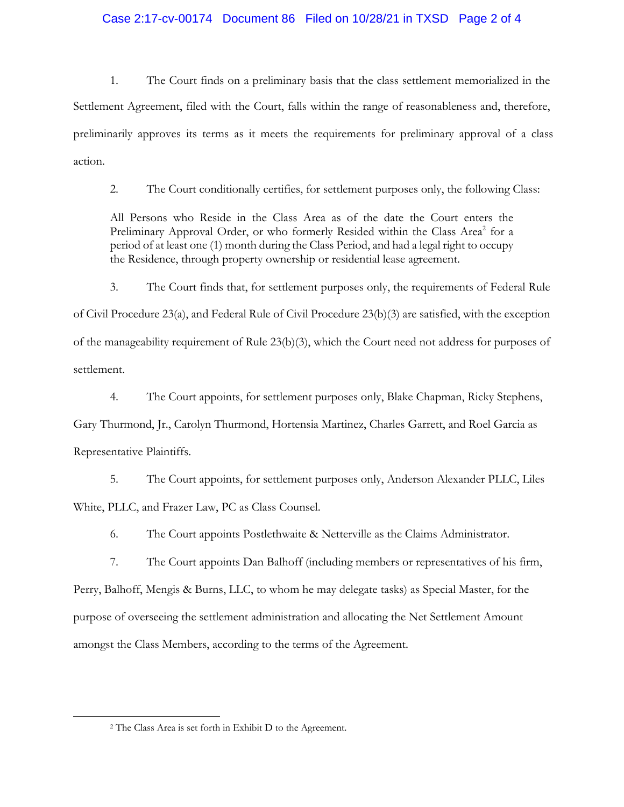## Case 2:17-cv-00174 Document 86 Filed on 10/28/21 in TXSD Page 2 of 4

1. The Court finds on a preliminary basis that the class settlement memorialized in the Settlement Agreement, filed with the Court, falls within the range of reasonableness and, therefore, preliminarily approves its terms as it meets the requirements for preliminary approval of a class action.

2. The Court conditionally certifies, for settlement purposes only, the following Class:

All Persons who Reside in the Class Area as of the date the Court enters the Preliminary Approval Order, or who formerly Resided within the Class Area<sup>2</sup> for a period of at least one (1) month during the Class Period, and had a legal right to occupy the Residence, through property ownership or residential lease agreement.

3. The Court finds that, for settlement purposes only, the requirements of Federal Rule of Civil Procedure 23(a), and Federal Rule of Civil Procedure 23(b)(3) are satisfied, with the exception of the manageability requirement of Rule 23(b)(3), which the Court need not address for purposes of settlement.

4. The Court appoints, for settlement purposes only, Blake Chapman, Ricky Stephens, Gary Thurmond, Jr., Carolyn Thurmond, Hortensia Martinez, Charles Garrett, and Roel Garcia as Representative Plaintiffs.

5. The Court appoints, for settlement purposes only, Anderson Alexander PLLC, Liles White, PLLC, and Frazer Law, PC as Class Counsel.

6. The Court appoints Postlethwaite & Netterville as the Claims Administrator.

7. The Court appoints Dan Balhoff (including members or representatives of his firm, Perry, Balhoff, Mengis & Burns, LLC, to whom he may delegate tasks) as Special Master, for the purpose of overseeing the settlement administration and allocating the Net Settlement Amount amongst the Class Members, according to the terms of the Agreement.

<sup>2</sup> The Class Area is set forth in Exhibit D to the Agreement.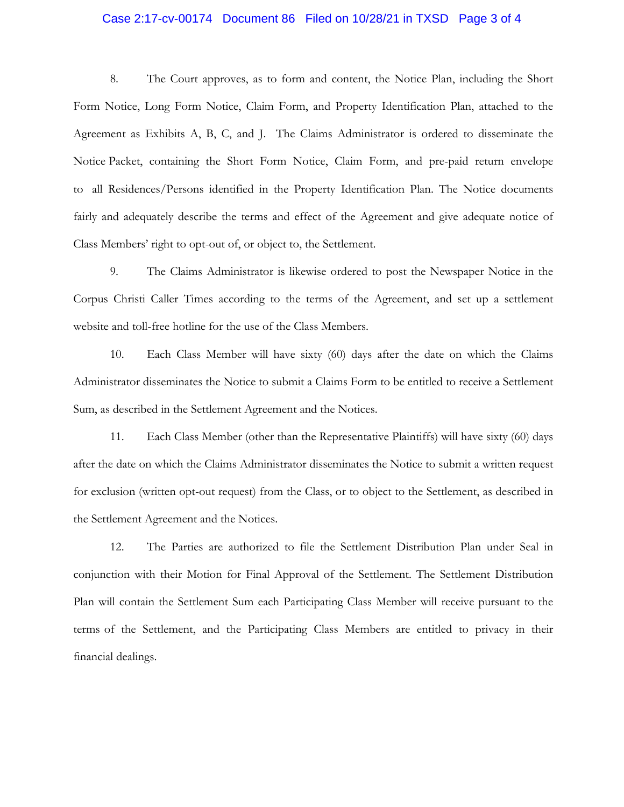### Case 2:17-cv-00174 Document 86 Filed on 10/28/21 in TXSD Page 3 of 4

8. The Court approves, as to form and content, the Notice Plan, including the Short Form Notice, Long Form Notice, Claim Form, and Property Identification Plan, attached to the Agreement as Exhibits A, B, C, and J. The Claims Administrator is ordered to disseminate the Notice Packet, containing the Short Form Notice, Claim Form, and pre-paid return envelope to all Residences/Persons identified in the Property Identification Plan. The Notice documents fairly and adequately describe the terms and effect of the Agreement and give adequate notice of Class Members' right to opt-out of, or object to, the Settlement.

9. The Claims Administrator is likewise ordered to post the Newspaper Notice in the Corpus Christi Caller Times according to the terms of the Agreement, and set up a settlement website and toll-free hotline for the use of the Class Members.

10. Each Class Member will have sixty (60) days after the date on which the Claims Administrator disseminates the Notice to submit a Claims Form to be entitled to receive a Settlement Sum, as described in the Settlement Agreement and the Notices.

11. Each Class Member (other than the Representative Plaintiffs) will have sixty (60) days after the date on which the Claims Administrator disseminates the Notice to submit a written request for exclusion (written opt-out request) from the Class, or to object to the Settlement, as described in the Settlement Agreement and the Notices.

12. The Parties are authorized to file the Settlement Distribution Plan under Seal in conjunction with their Motion for Final Approval of the Settlement. The Settlement Distribution Plan will contain the Settlement Sum each Participating Class Member will receive pursuant to the terms of the Settlement, and the Participating Class Members are entitled to privacy in their financial dealings.